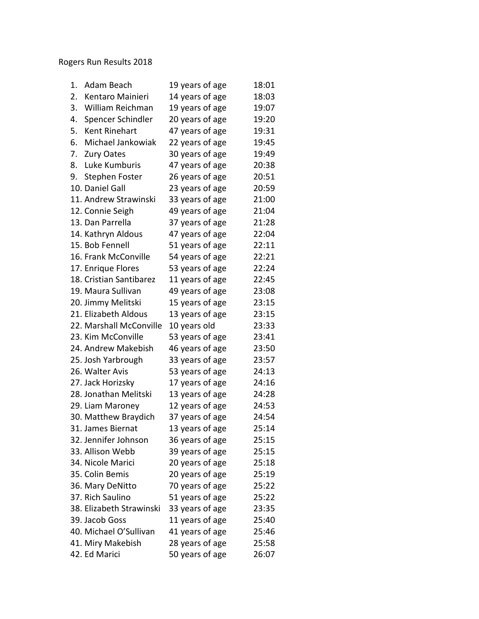## Rogers Run Results 2018

| Adam Beach<br>1.         | 19 years of age | 18:01 |
|--------------------------|-----------------|-------|
| 2.<br>Kentaro Mainieri   | 14 years of age | 18:03 |
| 3.<br>William Reichman   | 19 years of age | 19:07 |
| 4.<br>Spencer Schindler  | 20 years of age | 19:20 |
| Kent Rinehart<br>5.      | 47 years of age | 19:31 |
| 6.<br>Michael Jankowiak  | 22 years of age | 19:45 |
| 7.<br><b>Zury Oates</b>  | 30 years of age | 19:49 |
| 8.<br>Luke Kumburis      | 47 years of age | 20:38 |
| 9.<br>Stephen Foster     | 26 years of age | 20:51 |
| 10. Daniel Gall          | 23 years of age | 20:59 |
| 11. Andrew Strawinski    | 33 years of age | 21:00 |
| 12. Connie Seigh         | 49 years of age | 21:04 |
| 13. Dan Parrella         | 37 years of age | 21:28 |
| 14. Kathryn Aldous       | 47 years of age | 22:04 |
| 15. Bob Fennell          | 51 years of age | 22:11 |
| 16. Frank McConville     | 54 years of age | 22:21 |
| 17. Enrique Flores       | 53 years of age | 22:24 |
| 18. Cristian Santibarez  | 11 years of age | 22:45 |
| 19. Maura Sullivan       | 49 years of age | 23:08 |
| 20. Jimmy Melitski       | 15 years of age | 23:15 |
| 21. Elizabeth Aldous     | 13 years of age | 23:15 |
| 22. Marshall McConville  | 10 years old    | 23:33 |
| 23. Kim McConville       | 53 years of age | 23:41 |
| 24. Andrew Makebish      | 46 years of age | 23:50 |
| 25. Josh Yarbrough       | 33 years of age | 23:57 |
| 26. Walter Avis          | 53 years of age | 24:13 |
| 27. Jack Horizsky        | 17 years of age | 24:16 |
| 28. Jonathan Melitski    | 13 years of age | 24:28 |
| 29. Liam Maroney         | 12 years of age | 24:53 |
| 30. Matthew Braydich     | 37 years of age | 24:54 |
| 31. James Biernat        | 13 years of age | 25:14 |
| 32. Jennifer Johnson     | 36 years of age | 25:15 |
| 33. Allison Webb         | 39 years of age | 25:15 |
| 34. Nicole Marici        | 20 years of age | 25:18 |
| 35. Colin Bemis          | 20 years of age | 25:19 |
| 36. Mary DeNitto         | 70 years of age | 25:22 |
| 37. Rich Saulino         | 51 years of age | 25:22 |
| 38. Elizabeth Strawinski | 33 years of age | 23:35 |
| 39. Jacob Goss           | 11 years of age | 25:40 |
| 40. Michael O'Sullivan   | 41 years of age | 25:46 |
| 41. Miry Makebish        | 28 years of age | 25:58 |
| 42. Ed Marici            | 50 years of age | 26:07 |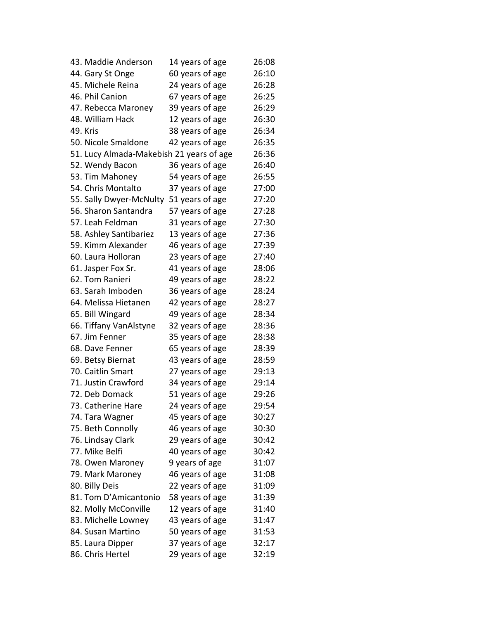| 43. Maddie Anderson                      | 14 years of age | 26:08 |
|------------------------------------------|-----------------|-------|
| 44. Gary St Onge                         | 60 years of age | 26:10 |
| 45. Michele Reina                        | 24 years of age | 26:28 |
| 46. Phil Canion                          | 67 years of age | 26:25 |
| 47. Rebecca Maroney                      | 39 years of age | 26:29 |
| 48. William Hack                         | 12 years of age | 26:30 |
| 49. Kris                                 | 38 years of age | 26:34 |
| 50. Nicole Smaldone                      | 42 years of age | 26:35 |
| 51. Lucy Almada-Makebish 21 years of age |                 | 26:36 |
| 52. Wendy Bacon                          | 36 years of age | 26:40 |
| 53. Tim Mahoney                          | 54 years of age | 26:55 |
| 54. Chris Montalto                       | 37 years of age | 27:00 |
| 55. Sally Dwyer-McNulty                  | 51 years of age | 27:20 |
| 56. Sharon Santandra                     | 57 years of age | 27:28 |
| 57. Leah Feldman                         | 31 years of age | 27:30 |
| 58. Ashley Santibariez                   | 13 years of age | 27:36 |
| 59. Kimm Alexander                       | 46 years of age | 27:39 |
| 60. Laura Holloran                       | 23 years of age | 27:40 |
| 61. Jasper Fox Sr.                       | 41 years of age | 28:06 |
| 62. Tom Ranieri                          | 49 years of age | 28:22 |
| 63. Sarah Imboden                        | 36 years of age | 28:24 |
| 64. Melissa Hietanen                     | 42 years of age | 28:27 |
| 65. Bill Wingard                         | 49 years of age | 28:34 |
| 66. Tiffany VanAlstyne                   | 32 years of age | 28:36 |
| 67. Jim Fenner                           | 35 years of age | 28:38 |
| 68. Dave Fenner                          | 65 years of age | 28:39 |
| 69. Betsy Biernat                        | 43 years of age | 28:59 |
| 70. Caitlin Smart                        | 27 years of age | 29:13 |
| 71. Justin Crawford                      | 34 years of age | 29:14 |
| 72. Deb Domack                           | 51 years of age | 29:26 |
| 73. Catherine Hare                       | 24 years of age | 29:54 |
| 74. Tara Wagner                          | 45 years of age | 30:27 |
| 75. Beth Connolly                        | 46 years of age | 30:30 |
| 76. Lindsay Clark                        | 29 years of age | 30:42 |
| 77. Mike Belfi                           | 40 years of age | 30:42 |
| 78. Owen Maroney                         | 9 years of age  | 31:07 |
| 79. Mark Maroney                         | 46 years of age | 31:08 |
| 80. Billy Deis                           | 22 years of age | 31:09 |
| 81. Tom D'Amicantonio                    | 58 years of age | 31:39 |
| 82. Molly McConville                     | 12 years of age | 31:40 |
| 83. Michelle Lowney                      | 43 years of age | 31:47 |
| 84. Susan Martino                        | 50 years of age | 31:53 |
| 85. Laura Dipper                         | 37 years of age | 32:17 |
| 86. Chris Hertel                         | 29 years of age | 32:19 |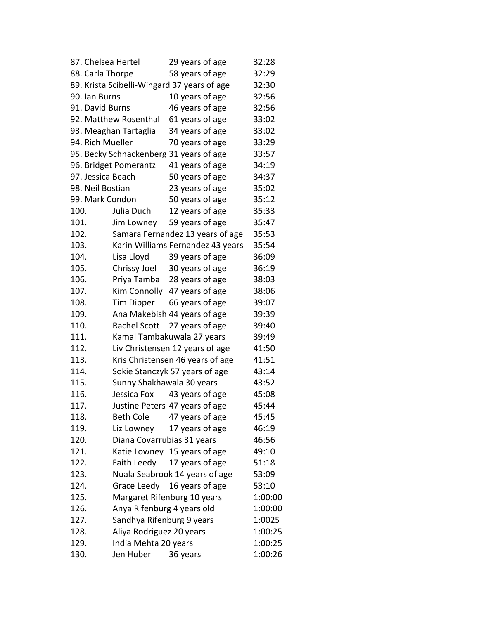| 87. Chelsea Hertel |                            | 29 years of age                             | 32:28   |
|--------------------|----------------------------|---------------------------------------------|---------|
| 88. Carla Thorpe   |                            | 58 years of age                             | 32:29   |
|                    |                            | 89. Krista Scibelli-Wingard 37 years of age | 32:30   |
| 90. Ian Burns      |                            | 10 years of age                             | 32:56   |
| 91. David Burns    |                            | 46 years of age                             | 32:56   |
|                    | 92. Matthew Rosenthal      | 61 years of age                             | 33:02   |
|                    | 93. Meaghan Tartaglia      | 34 years of age                             | 33:02   |
| 94. Rich Mueller   |                            | 70 years of age                             | 33:29   |
|                    |                            | 95. Becky Schnackenberg 31 years of age     | 33:57   |
|                    | 96. Bridget Pomerantz      | 41 years of age                             | 34:19   |
| 97. Jessica Beach  |                            | 50 years of age                             | 34:37   |
| 98. Neil Bostian   |                            | 23 years of age                             | 35:02   |
| 99. Mark Condon    |                            | 50 years of age                             | 35:12   |
| 100.               | Julia Duch                 | 12 years of age                             | 35:33   |
| 101.               | Jim Lowney                 | 59 years of age                             | 35:47   |
| 102.               |                            | Samara Fernandez 13 years of age            | 35:53   |
| 103.               |                            | Karin Williams Fernandez 43 years           | 35:54   |
| 104.               | Lisa Lloyd                 | 39 years of age                             | 36:09   |
| 105.               |                            | Chrissy Joel 30 years of age                | 36:19   |
| 106.               |                            | Priya Tamba 28 years of age                 | 38:03   |
| 107.               |                            | Kim Connolly 47 years of age                | 38:06   |
| 108.               | <b>Tim Dipper</b>          | 66 years of age                             | 39:07   |
| 109.               |                            | Ana Makebish 44 years of age                | 39:39   |
| 110.               | Rachel Scott               | 27 years of age                             | 39:40   |
| 111.               |                            | Kamal Tambakuwala 27 years                  | 39:49   |
| 112.               |                            | Liv Christensen 12 years of age             | 41:50   |
| 113.               |                            | Kris Christensen 46 years of age            | 41:51   |
| 114.               |                            | Sokie Stanczyk 57 years of age              | 43:14   |
| 115.               | Sunny Shakhawala 30 years  |                                             | 43:52   |
| 116.               |                            | Jessica Fox 43 years of age                 | 45:08   |
| 117.               |                            | Justine Peters 47 years of age              | 45:44   |
| 118.               | Beth Cole                  | 47 years of age                             | 45:45   |
| 119.               | Liz Lowney                 | 17 years of age                             | 46:19   |
| 120.               | Diana Covarrubias 31 years |                                             | 46:56   |
| 121.               |                            | Katie Lowney 15 years of age                | 49:10   |
| 122.               | Faith Leedy                | 17 years of age                             | 51:18   |
| 123.               |                            | Nuala Seabrook 14 years of age              | 53:09   |
| 124.               | Grace Leedy                | 16 years of age                             | 53:10   |
| 125.               |                            | Margaret Rifenburg 10 years                 | 1:00:00 |
| 126.               | Anya Rifenburg 4 years old |                                             | 1:00:00 |
| 127.               | Sandhya Rifenburg 9 years  |                                             | 1:0025  |
| 128.               | Aliya Rodriguez 20 years   |                                             | 1:00:25 |
| 129.               | India Mehta 20 years       |                                             | 1:00:25 |
| 130.               | Jen Huber                  | 36 years                                    | 1:00:26 |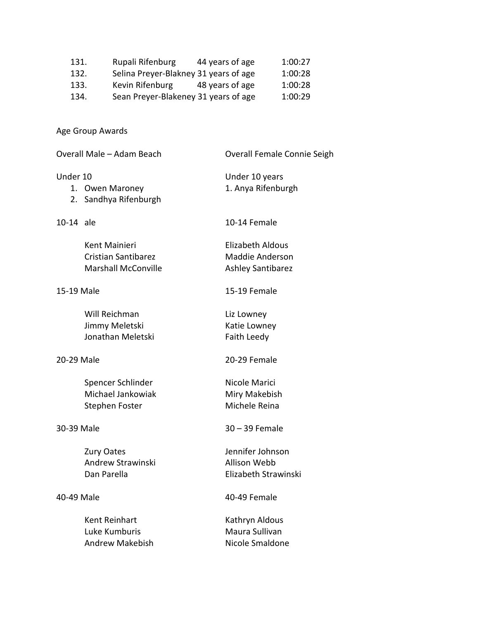| 131. | Rupali Rifenburg                      | 44 years of age | 1:00:27 |
|------|---------------------------------------|-----------------|---------|
| 132. | Selina Preyer-Blakney 31 years of age |                 | 1:00:28 |
| 133. | Kevin Rifenburg                       | 48 years of age | 1:00:28 |
| 134. | Sean Preyer-Blakeney 31 years of age  |                 | 1:00:29 |

Age Group Awards

| Overall Male - Adam Beach |                                                                           | Overall Female Connie Seigh                                            |
|---------------------------|---------------------------------------------------------------------------|------------------------------------------------------------------------|
| Under 10                  | 1. Owen Maroney<br>2. Sandhya Rifenburgh                                  | Under 10 years<br>1. Anya Rifenburgh                                   |
| 10-14 ale                 |                                                                           | 10-14 Female                                                           |
|                           | Kent Mainieri<br><b>Cristian Santibarez</b><br><b>Marshall McConville</b> | <b>Elizabeth Aldous</b><br>Maddie Anderson<br><b>Ashley Santibarez</b> |
| 15-19 Male                |                                                                           | 15-19 Female                                                           |
|                           | Will Reichman<br>Jimmy Meletski<br>Jonathan Meletski                      | Liz Lowney<br>Katie Lowney<br>Faith Leedy                              |
| 20-29 Male                |                                                                           | 20-29 Female                                                           |
|                           | Spencer Schlinder<br>Michael Jankowiak<br>Stephen Foster                  | Nicole Marici<br>Miry Makebish<br>Michele Reina                        |
| 30-39 Male                |                                                                           | $30 - 39$ Female                                                       |
|                           | <b>Zury Oates</b><br>Andrew Strawinski<br>Dan Parella                     | Jennifer Johnson<br><b>Allison Webb</b><br>Elizabeth Strawinski        |
| 40-49 Male                |                                                                           | 40-49 Female                                                           |
|                           | Kent Reinhart<br>Luke Kumburis<br><b>Andrew Makebish</b>                  | Kathryn Aldous<br>Maura Sullivan<br>Nicole Smaldone                    |